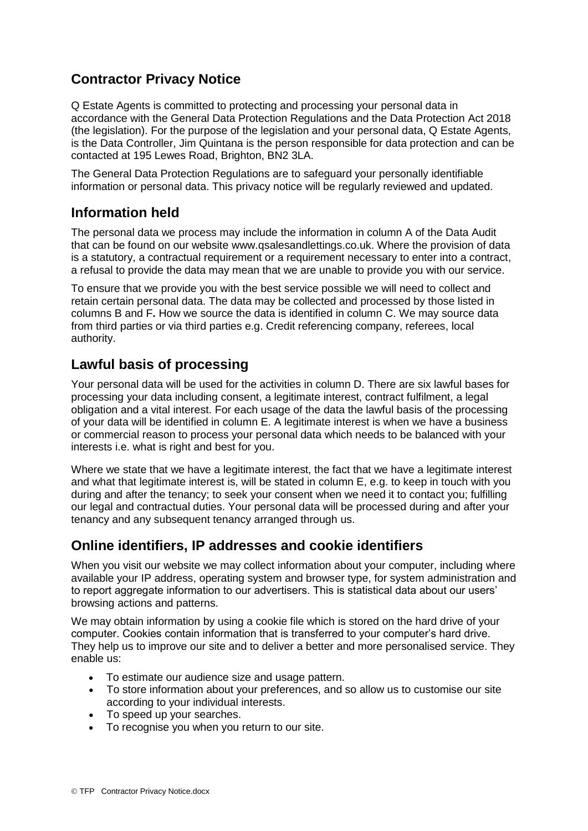# **Contractor Privacy Notice**

Q Estate Agents is committed to protecting and processing your personal data in accordance with the General Data Protection Regulations and the Data Protection Act 2018 (the legislation). For the purpose of the legislation and your personal data, Q Estate Agents, is the Data Controller, Jim Quintana is the person responsible for data protection and can be contacted at 195 Lewes Road, Brighton, BN2 3LA.

The General Data Protection Regulations are to safeguard your personally identifiable information or personal data. This privacy notice will be regularly reviewed and updated.

### **Information held**

The personal data we process may include the information in column A of the Data Audit that can be found on our website www.qsalesandlettings.co.uk. Where the provision of data is a statutory, a contractual requirement or a requirement necessary to enter into a contract, a refusal to provide the data may mean that we are unable to provide you with our service.

To ensure that we provide you with the best service possible we will need to collect and retain certain personal data. The data may be collected and processed by those listed in columns B and F**.** How we source the data is identified in column C. We may source data from third parties or via third parties e.g. Credit referencing company, referees, local authority.

### **Lawful basis of processing**

Your personal data will be used for the activities in column D. There are six lawful bases for processing your data including consent, a legitimate interest, contract fulfilment, a legal obligation and a vital interest. For each usage of the data the lawful basis of the processing of your data will be identified in column E. A legitimate interest is when we have a business or commercial reason to process your personal data which needs to be balanced with your interests i.e. what is right and best for you.

Where we state that we have a legitimate interest, the fact that we have a legitimate interest and what that legitimate interest is, will be stated in column E, e.g. to keep in touch with you during and after the tenancy; to seek your consent when we need it to contact you; fulfilling our legal and contractual duties. Your personal data will be processed during and after your tenancy and any subsequent tenancy arranged through us.

# **Online identifiers, IP addresses and cookie identifiers**

When you visit our website we may collect information about your computer, including where available your IP address, operating system and browser type, for system administration and to report aggregate information to our advertisers. This is statistical data about our users' browsing actions and patterns.

We may obtain information by using a cookie file which is stored on the hard drive of your computer. Cookies contain information that is transferred to your computer's hard drive. They help us to improve our site and to deliver a better and more personalised service. They enable us:

- To estimate our audience size and usage pattern.
- To store information about your preferences, and so allow us to customise our site according to your individual interests.
- To speed up your searches.
- To recognise you when you return to our site.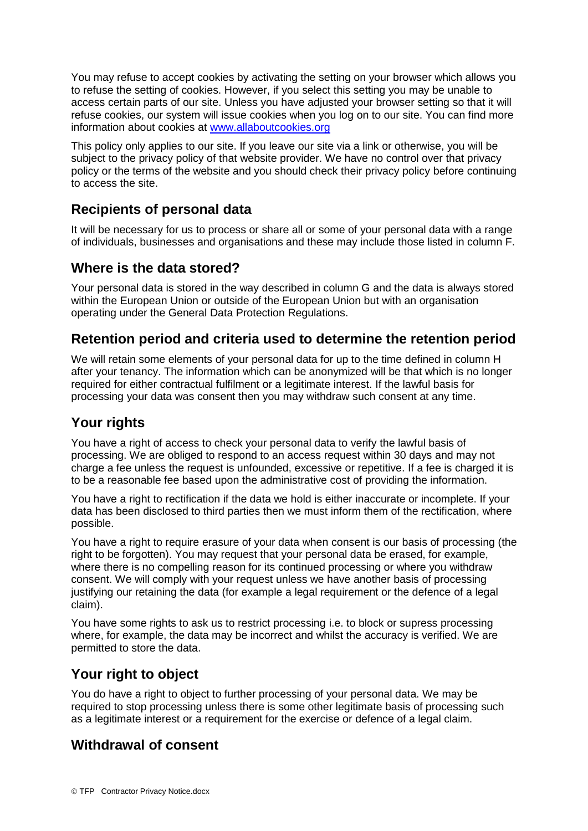You may refuse to accept cookies by activating the setting on your browser which allows you to refuse the setting of cookies. However, if you select this setting you may be unable to access certain parts of our site. Unless you have adjusted your browser setting so that it will refuse cookies, our system will issue cookies when you log on to our site. You can find more information about cookies at [www.allaboutcookies.org](http://www.allaboutcookies.org/)

This policy only applies to our site. If you leave our site via a link or otherwise, you will be subject to the privacy policy of that website provider. We have no control over that privacy policy or the terms of the website and you should check their privacy policy before continuing to access the site.

# **Recipients of personal data**

It will be necessary for us to process or share all or some of your personal data with a range of individuals, businesses and organisations and these may include those listed in column F.

### **Where is the data stored?**

Your personal data is stored in the way described in column G and the data is always stored within the European Union or outside of the European Union but with an organisation operating under the General Data Protection Regulations.

#### **Retention period and criteria used to determine the retention period**

We will retain some elements of your personal data for up to the time defined in column H after your tenancy. The information which can be anonymized will be that which is no longer required for either contractual fulfilment or a legitimate interest. If the lawful basis for processing your data was consent then you may withdraw such consent at any time.

# **Your rights**

You have a right of access to check your personal data to verify the lawful basis of processing. We are obliged to respond to an access request within 30 days and may not charge a fee unless the request is unfounded, excessive or repetitive. If a fee is charged it is to be a reasonable fee based upon the administrative cost of providing the information.

You have a right to rectification if the data we hold is either inaccurate or incomplete. If your data has been disclosed to third parties then we must inform them of the rectification, where possible.

You have a right to require erasure of your data when consent is our basis of processing (the right to be forgotten). You may request that your personal data be erased, for example, where there is no compelling reason for its continued processing or where you withdraw consent. We will comply with your request unless we have another basis of processing justifying our retaining the data (for example a legal requirement or the defence of a legal claim).

You have some rights to ask us to restrict processing i.e. to block or supress processing where, for example, the data may be incorrect and whilst the accuracy is verified. We are permitted to store the data.

#### **Your right to object**

You do have a right to object to further processing of your personal data. We may be required to stop processing unless there is some other legitimate basis of processing such as a legitimate interest or a requirement for the exercise or defence of a legal claim.

# **Withdrawal of consent**